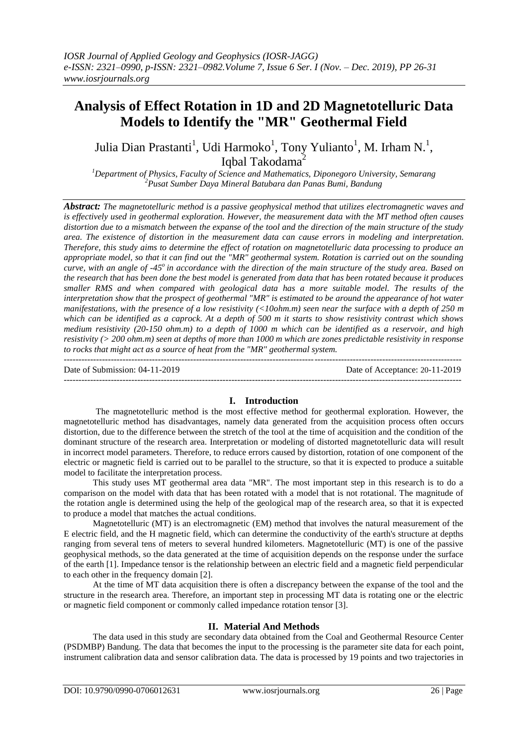# **Analysis of Effect Rotation in 1D and 2D Magnetotelluric Data Models to Identify the "MR" Geothermal Field**

Julia Dian Prastanti<sup>1</sup>, Udi Harmoko<sup>1</sup>, Tony Yulianto<sup>1</sup>, M. Irham N.<sup>1</sup>, Iqbal Takodama<sup>2</sup>

*<sup>1</sup>Department of Physics, Faculty of Science and Mathematics, Diponegoro University, Semarang <sup>2</sup>Pusat Sumber Daya Mineral Batubara dan Panas Bumi, Bandung*

*Abstract: The magnetotelluric method is a passive geophysical method that utilizes electromagnetic waves and is effectively used in geothermal exploration. However, the measurement data with the MT method often causes distortion due to a mismatch between the expanse of the tool and the direction of the main structure of the study area. The existence of distortion in the measurement data can cause errors in modeling and interpretation. Therefore, this study aims to determine the effect of rotation on magnetotelluric data processing to produce an appropriate model, so that it can find out the "MR" geothermal system. Rotation is carried out on the sounding curve, with an angle of -45<sup>o</sup>in accordance with the direction of the main structure of the study area. Based on the research that has been done the best model is generated from data that has been rotated because it produces smaller RMS and when compared with geological data has a more suitable model. The results of the interpretation show that the prospect of geothermal "MR" is estimated to be around the appearance of hot water manifestations, with the presence of a low resistivity (<10ohm.m) seen near the surface with a depth of 250 m which can be identified as a caprock. At a depth of 500 m it starts to show resistivity contrast which shows medium resistivity (20-150 ohm.m) to a depth of 1000 m which can be identified as a reservoir, and high resistivity (> 200 ohm.m) seen at depths of more than 1000 m which are zones predictable resistivity in response to rocks that might act as a source of heat from the "MR" geothermal system.*

--------------------------------------------------------------------------------------------------------------------------------------- Date of Submission: 04-11-2019 Date of Acceptance: 20-11-2019  $-1\leq i\leq n-1$ 

#### **I. Introduction**

The magnetotelluric method is the most effective method for geothermal exploration. However, the magnetotelluric method has disadvantages, namely data generated from the acquisition process often occurs distortion, due to the difference between the stretch of the tool at the time of acquisition and the condition of the dominant structure of the research area. Interpretation or modeling of distorted magnetotelluric data will result in incorrect model parameters. Therefore, to reduce errors caused by distortion, rotation of one component of the electric or magnetic field is carried out to be parallel to the structure, so that it is expected to produce a suitable model to facilitate the interpretation process.

This study uses MT geothermal area data "MR". The most important step in this research is to do a comparison on the model with data that has been rotated with a model that is not rotational. The magnitude of the rotation angle is determined using the help of the geological map of the research area, so that it is expected to produce a model that matches the actual conditions.

Magnetotelluric (MT) is an electromagnetic (EM) method that involves the natural measurement of the E electric field, and the H magnetic field, which can determine the conductivity of the earth's structure at depths ranging from several tens of meters to several hundred kilometers. Magnetotelluric (MT) is one of the passive geophysical methods, so the data generated at the time of acquisition depends on the response under the surface of the earth [1]. Impedance tensor is the relationship between an electric field and a magnetic field perpendicular to each other in the frequency domain [2].

At the time of MT data acquisition there is often a discrepancy between the expanse of the tool and the structure in the research area. Therefore, an important step in processing MT data is rotating one or the electric or magnetic field component or commonly called impedance rotation tensor [3].

#### **II. Material And Methods**

The data used in this study are secondary data obtained from the Coal and Geothermal Resource Center (PSDMBP) Bandung. The data that becomes the input to the processing is the parameter site data for each point, instrument calibration data and sensor calibration data. The data is processed by 19 points and two trajectories in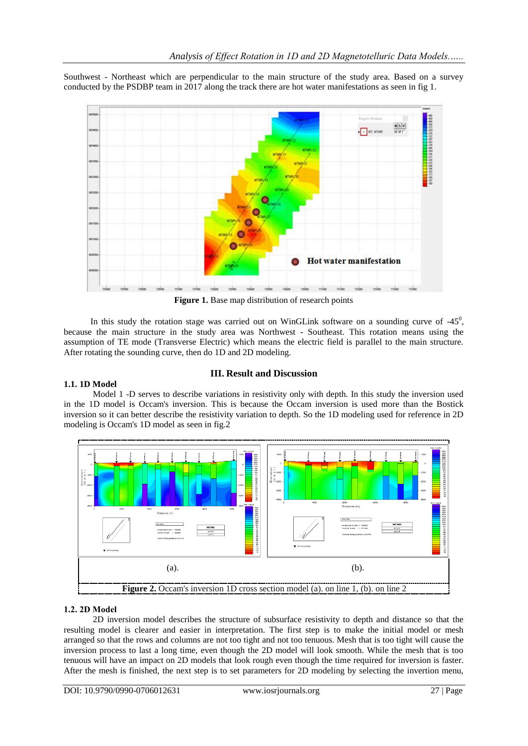Southwest - Northeast which are perpendicular to the main structure of the study area. Based on a survey conducted by the PSDBP team in 2017 along the track there are hot water manifestations as seen in fig 1.



Figure 1. Base map distribution of research points

In this study the rotation stage was carried out on WinGLink software on a sounding curve of  $-45^\circ$ , because the main structure in the study area was Northwest - Southeast. This rotation means using the assumption of TE mode (Transverse Electric) which means the electric field is parallel to the main structure. After rotating the sounding curve, then do 1D and 2D modeling.

# **III. Result and Discussion**

#### **1.1. 1D Model**

Model 1 -D serves to describe variations in resistivity only with depth. In this study the inversion used in the 1D model is Occam's inversion. This is because the Occam inversion is used more than the Bostick inversion so it can better describe the resistivity variation to depth. So the 1D modeling used for reference in 2D modeling is Occam's 1D model as seen in fig.2



#### **1.2. 2D Model**

2D inversion model describes the structure of subsurface resistivity to depth and distance so that the resulting model is clearer and easier in interpretation. The first step is to make the initial model or mesh arranged so that the rows and columns are not too tight and not too tenuous. Mesh that is too tight will cause the inversion process to last a long time, even though the 2D model will look smooth. While the mesh that is too tenuous will have an impact on 2D models that look rough even though the time required for inversion is faster. After the mesh is finished, the next step is to set parameters for 2D modeling by selecting the invertion menu,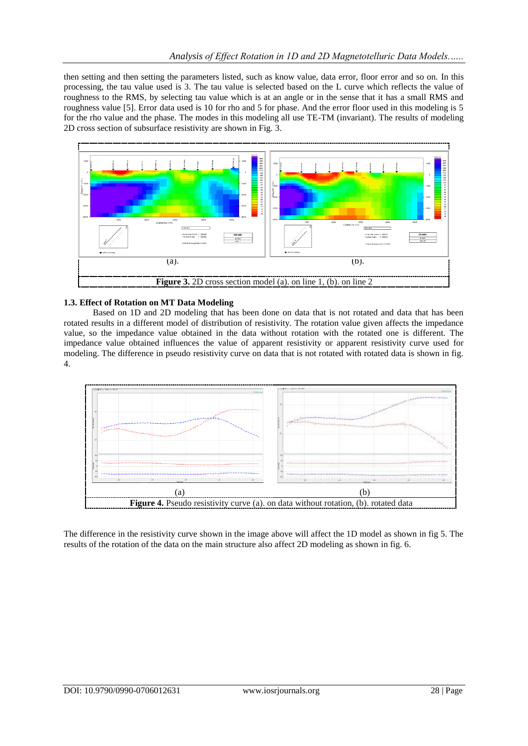then setting and then setting the parameters listed, such as know value, data error, floor error and so on. In this processing, the tau value used is 3. The tau value is selected based on the L curve which reflects the value of roughness to the RMS, by selecting tau value which is at an angle or in the sense that it has a small RMS and roughness value [5]. Error data used is 10 for rho and 5 for phase. And the error floor used in this modeling is 5 for the rho value and the phase. The modes in this modeling all use TE-TM (invariant). The results of modeling 2D cross section of subsurface resistivity are shown in Fig. 3.



### **1.3. Effect of Rotation on MT Data Modeling**

Based on 1D and 2D modeling that has been done on data that is not rotated and data that has been rotated results in a different model of distribution of resistivity. The rotation value given affects the impedance value, so the impedance value obtained in the data without rotation with the rotated one is different. The impedance value obtained influences the value of apparent resistivity or apparent resistivity curve used for modeling. The difference in pseudo resistivity curve on data that is not rotated with rotated data is shown in fig. 4.



The difference in the resistivity curve shown in the image above will affect the 1D model as shown in fig 5. The results of the rotation of the data on the main structure also affect 2D modeling as shown in fig. 6.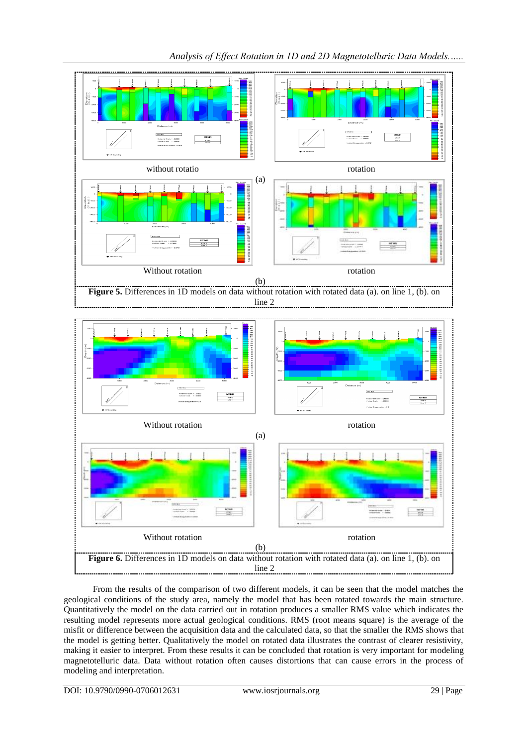

*Analysis of Effect Rotation in 1D and 2D Magnetotelluric Data Models.…..*

From the results of the comparison of two different models, it can be seen that the model matches the geological conditions of the study area, namely the model that has been rotated towards the main structure. Quantitatively the model on the data carried out in rotation produces a smaller RMS value which indicates the resulting model represents more actual geological conditions. RMS (root means square) is the average of the misfit or difference between the acquisition data and the calculated data, so that the smaller the RMS shows that the model is getting better. Qualitatively the model on rotated data illustrates the contrast of clearer resistivity, making it easier to interpret. From these results it can be concluded that rotation is very important for modeling magnetotelluric data. Data without rotation often causes distortions that can cause errors in the process of modeling and interpretation.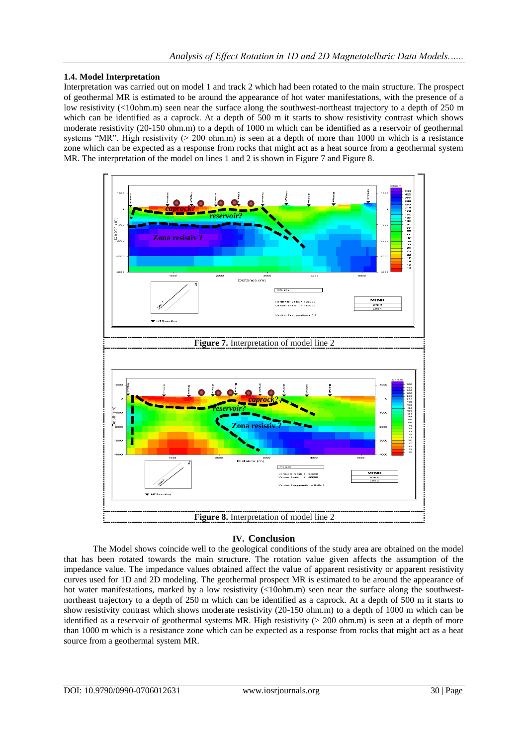#### **1.4. Model Interpretation**

Interpretation was carried out on model 1 and track 2 which had been rotated to the main structure. The prospect of geothermal MR is estimated to be around the appearance of hot water manifestations, with the presence of a low resistivity (<10ohm.m) seen near the surface along the southwest-northeast trajectory to a depth of 250 m which can be identified as a caprock. At a depth of 500 m it starts to show resistivity contrast which shows moderate resistivity (20-150 ohm.m) to a depth of 1000 m which can be identified as a reservoir of geothermal systems "MR". High resistivity ( $> 200$  ohm.m) is seen at a depth of more than 1000 m which is a resistance zone which can be expected as a response from rocks that might act as a heat source from a geothermal system MR. The interpretation of the model on lines 1 and 2 is shown in Figure 7 and Figure 8.



## **IV. Conclusion**

The Model shows coincide well to the geological conditions of the study area are obtained on the model that has been rotated towards the main structure. The rotation value given affects the assumption of the impedance value. The impedance values obtained affect the value of apparent resistivity or apparent resistivity curves used for 1D and 2D modeling. The geothermal prospect MR is estimated to be around the appearance of hot water manifestations, marked by a low resistivity (<10ohm.m) seen near the surface along the southwestnortheast trajectory to a depth of 250 m which can be identified as a caprock. At a depth of 500 m it starts to show resistivity contrast which shows moderate resistivity (20-150 ohm.m) to a depth of 1000 m which can be identified as a reservoir of geothermal systems MR. High resistivity (> 200 ohm.m) is seen at a depth of more than 1000 m which is a resistance zone which can be expected as a response from rocks that might act as a heat source from a geothermal system MR.